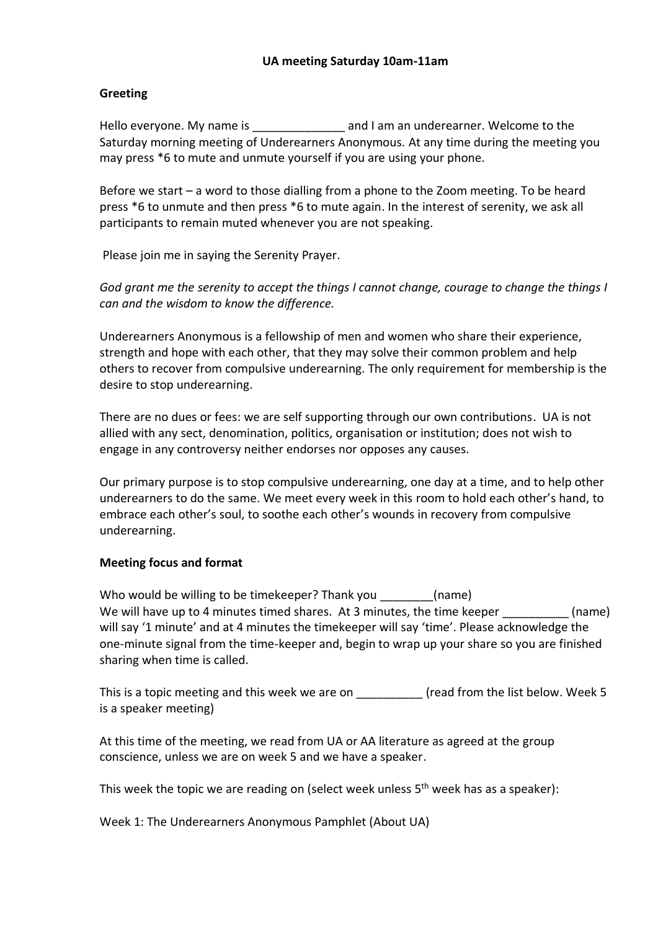#### **Greeting**

Hello everyone. My name is **Example 20** and I am an underearner. Welcome to the Saturday morning meeting of Underearners Anonymous. At any time during the meeting you may press \*6 to mute and unmute yourself if you are using your phone.

Before we start – a word to those dialling from a phone to the Zoom meeting. To be heard press \*6 to unmute and then press \*6 to mute again. In the interest of serenity, we ask all participants to remain muted whenever you are not speaking.

Please join me in saying the Serenity Prayer.

*God grant me the serenity to accept the things I cannot change, courage to change the things I can and the wisdom to know the difference.*

Underearners Anonymous is a fellowship of men and women who share their experience, strength and hope with each other, that they may solve their common problem and help others to recover from compulsive underearning. The only requirement for membership is the desire to stop underearning.

There are no dues or fees: we are self supporting through our own contributions. UA is not allied with any sect, denomination, politics, organisation or institution; does not wish to engage in any controversy neither endorses nor opposes any causes.

Our primary purpose is to stop compulsive underearning, one day at a time, and to help other underearners to do the same. We meet every week in this room to hold each other's hand, to embrace each other's soul, to soothe each other's wounds in recovery from compulsive underearning.

#### **Meeting focus and format**

Who would be willing to be timekeeper? Thank you [name] We will have up to 4 minutes timed shares. At 3 minutes, the time keeper (name) will say '1 minute' and at 4 minutes the timekeeper will say 'time'. Please acknowledge the one-minute signal from the time-keeper and, begin to wrap up your share so you are finished sharing when time is called.

This is a topic meeting and this week we are on \_\_\_\_\_\_\_\_\_\_\_\_\_\_ (read from the list below. Week 5 is a speaker meeting)

At this time of the meeting, we read from UA or AA literature as agreed at the group conscience, unless we are on week 5 and we have a speaker.

This week the topic we are reading on (select week unless  $5<sup>th</sup>$  week has as a speaker):

Week 1: The Underearners Anonymous Pamphlet (About UA)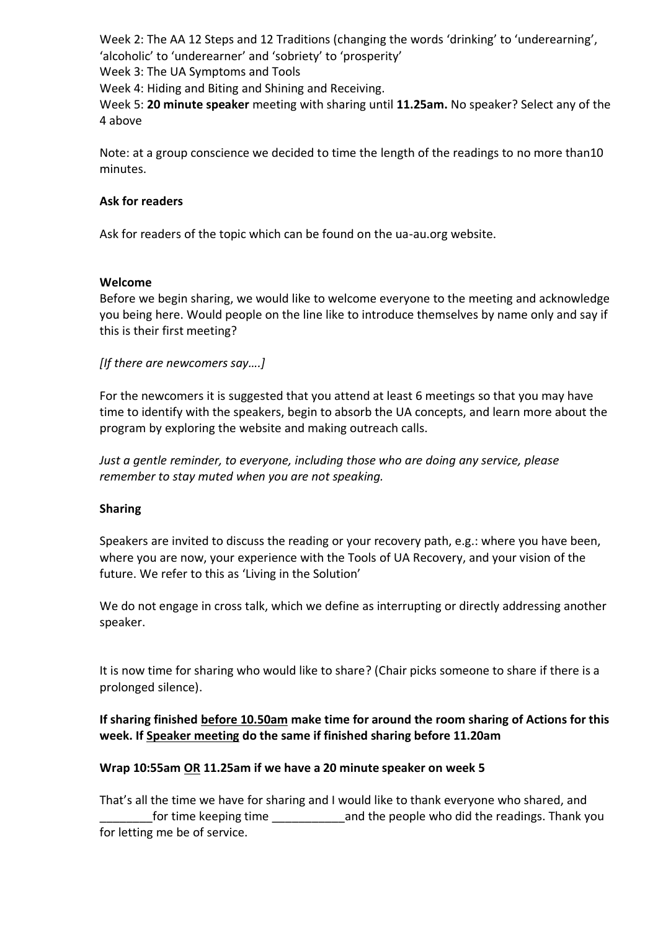Week 2: The AA 12 Steps and 12 Traditions (changing the words 'drinking' to 'underearning', 'alcoholic' to 'underearner' and 'sobriety' to 'prosperity' Week 3: The UA Symptoms and Tools

Week 4: Hiding and Biting and Shining and Receiving.

Week 5: **20 minute speaker** meeting with sharing until **11.25am.** No speaker? Select any of the 4 above

Note: at a group conscience we decided to time the length of the readings to no more than10 minutes.

### **Ask for readers**

Ask for readers of the topic which can be found on the ua-au.org website.

### **Welcome**

Before we begin sharing, we would like to welcome everyone to the meeting and acknowledge you being here. Would people on the line like to introduce themselves by name only and say if this is their first meeting?

*[If there are newcomers say….]*

For the newcomers it is suggested that you attend at least 6 meetings so that you may have time to identify with the speakers, begin to absorb the UA concepts, and learn more about the program by exploring the website and making outreach calls.

*Just a gentle reminder, to everyone, including those who are doing any service, please remember to stay muted when you are not speaking.*

## **Sharing**

Speakers are invited to discuss the reading or your recovery path, e.g.: where you have been, where you are now, your experience with the Tools of UA Recovery, and your vision of the future. We refer to this as 'Living in the Solution'

We do not engage in cross talk, which we define as interrupting or directly addressing another speaker.

It is now time for sharing who would like to share? (Chair picks someone to share if there is a prolonged silence).

# **If sharing finished before 10.50am make time for around the room sharing of Actions for this week. If Speaker meeting do the same if finished sharing before 11.20am**

## **Wrap 10:55am OR 11.25am if we have a 20 minute speaker on week 5**

That's all the time we have for sharing and I would like to thank everyone who shared, and for time keeping time  $\qquad \qquad$  and the people who did the readings. Thank you for letting me be of service.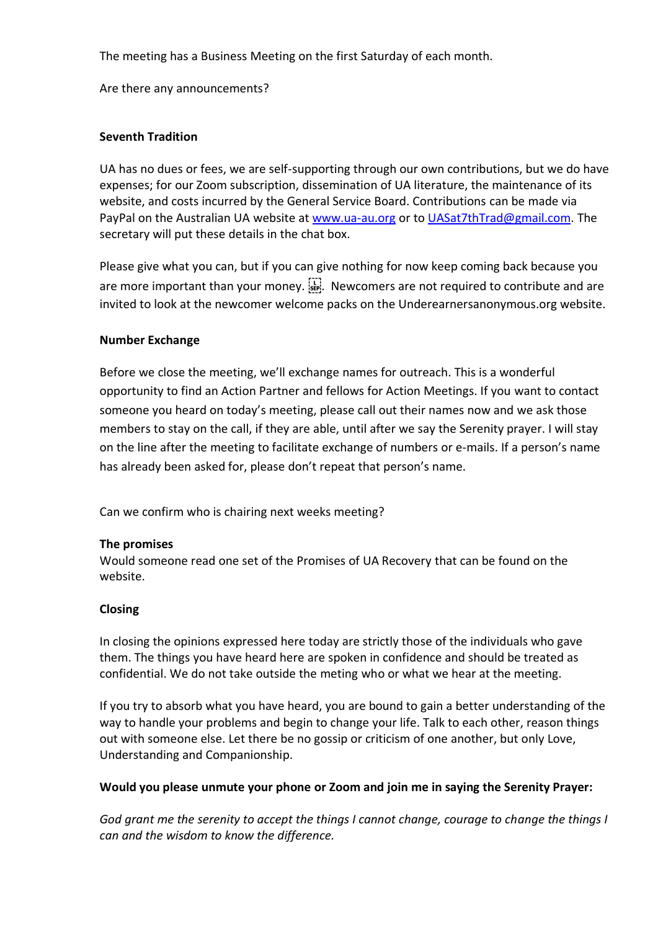The meeting has a Business Meeting on the first Saturday of each month.

Are there any announcements?

## **Seventh Tradition**

UA has no dues or fees, we are self-supporting through our own contributions, but we do have expenses; for our Zoom subscription, dissemination of UA literature, the maintenance of its website, and costs incurred by the General Service Board. Contributions can be made via PayPal on the Australian UA website at www.ua-au.org or to UASat7thTrad@gmail.com. The secretary will put these details in the chat box.

Please give what you can, but if you can give nothing for now keep coming back because you are more important than your money.  $\prod_{i=1}^{n}$  Newcomers are not required to contribute and are invited to look at the newcomer welcome packs on the Underearnersanonymous.org website.

### **Number Exchange**

Before we close the meeting, we'll exchange names for outreach. This is a wonderful opportunity to find an Action Partner and fellows for Action Meetings. If you want to contact someone you heard on today's meeting, please call out their names now and we ask those members to stay on the call, if they are able, until after we say the Serenity prayer. I will stay on the line after the meeting to facilitate exchange of numbers or e-mails. If a person's name has already been asked for, please don't repeat that person's name.

Can we confirm who is chairing next weeks meeting?

#### **The promises**

Would someone read one set of the Promises of UA Recovery that can be found on the website.

#### **Closing**

In closing the opinions expressed here today are strictly those of the individuals who gave them. The things you have heard here are spoken in confidence and should be treated as confidential. We do not take outside the meting who or what we hear at the meeting.

If you try to absorb what you have heard, you are bound to gain a better understanding of the way to handle your problems and begin to change your life. Talk to each other, reason things out with someone else. Let there be no gossip or criticism of one another, but only Love, Understanding and Companionship.

## **Would you please unmute your phone or Zoom and join me in saying the Serenity Prayer:**

*God grant me the serenity to accept the things I cannot change, courage to change the things I can and the wisdom to know the difference.*